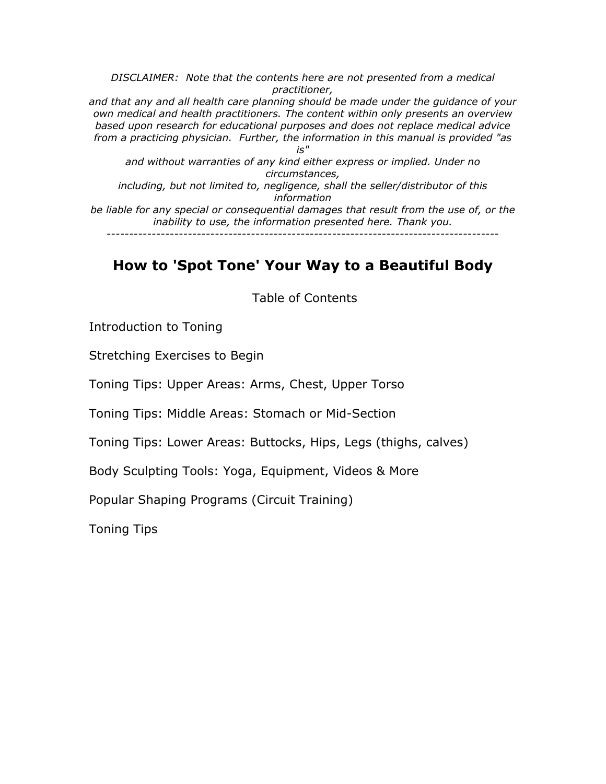*DISCLAIMER: Note that the contents here are not presented from a medical practitioner, and that any and all health care planning should be made under the guidance of your own medical and health practitioners. The content within only presents an overview based upon research for educational purposes and does not replace medical advice from a practicing physician. Further, the information in this manual is provided "as is" and without warranties of any kind either express or implied. Under no circumstances, including, but not limited to, negligence, shall the seller/distributor of this information be liable for any special or consequential damages that result from the use of, or the inability to use, the information presented here. Thank you. ---------------------------------------------------------------------------------------* 

# **How to 'Spot Tone' Your Way to a Beautiful Body**

Table of Contents

Introduction to Toning

Stretching Exercises to Begin

Toning Tips: Upper Areas: Arms, Chest, Upper Torso

Toning Tips: Middle Areas: Stomach or Mid-Section

Toning Tips: Lower Areas: Buttocks, Hips, Legs (thighs, calves)

Body Sculpting Tools: Yoga, Equipment, Videos & More

Popular Shaping Programs (Circuit Training)

Toning Tips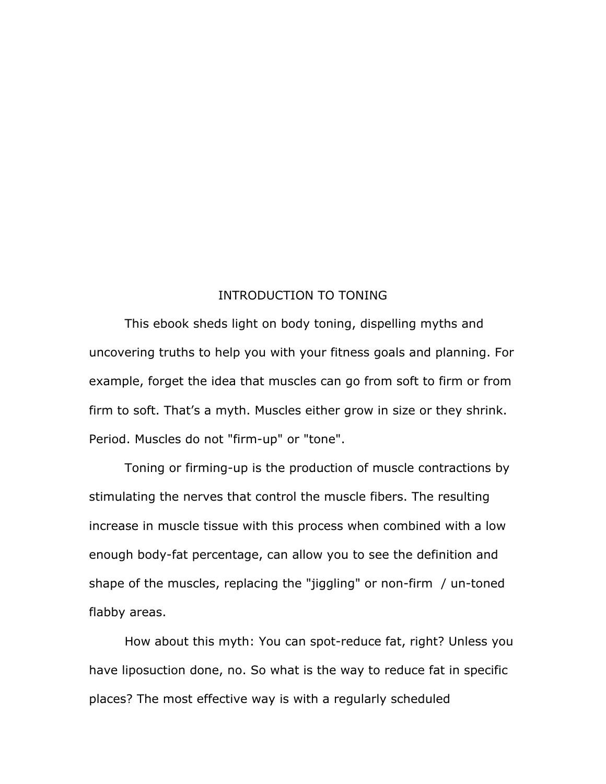#### INTRODUCTION TO TONING

This ebook sheds light on body toning, dispelling myths and uncovering truths to help you with your fitness goals and planning. For example, forget the idea that muscles can go from soft to firm or from firm to soft. That's a myth. Muscles either grow in size or they shrink. Period. Muscles do not "firm-up" or "tone".

Toning or firming-up is the production of muscle contractions by stimulating the nerves that control the muscle fibers. The resulting increase in muscle tissue with this process when combined with a low enough body-fat percentage, can allow you to see the definition and shape of the muscles, replacing the "jiggling" or non-firm / un-toned flabby areas.

How about this myth: You can spot-reduce fat, right? Unless you have liposuction done, no. So what is the way to reduce fat in specific places? The most effective way is with a regularly scheduled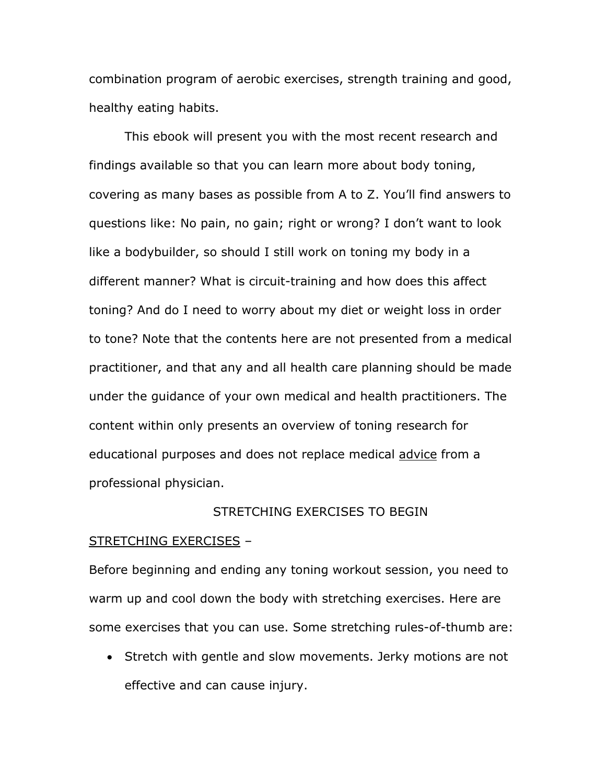combination program of aerobic exercises, strength training and good, healthy eating habits.

This ebook will present you with the most recent research and findings available so that you can learn more about body toning, covering as many bases as possible from A to Z. You'll find answers to questions like: No pain, no gain; right or wrong? I don't want to look like a bodybuilder, so should I still work on toning my body in a different manner? What is circuit-training and how does this affect toning? And do I need to worry about my diet or weight loss in order to tone? Note that the contents here are not presented from a medical practitioner, and that any and all health care planning should be made under the guidance of your own medical and health practitioners. The content within only presents an overview of toning research for educational purposes and does not replace medical advice from a professional physician.

# STRETCHING EXERCISES TO BEGIN

#### STRETCHING EXERCISES –

Before beginning and ending any toning workout session, you need to warm up and cool down the body with stretching exercises. Here are some exercises that you can use. Some stretching rules-of-thumb are:

• Stretch with gentle and slow movements. Jerky motions are not effective and can cause injury.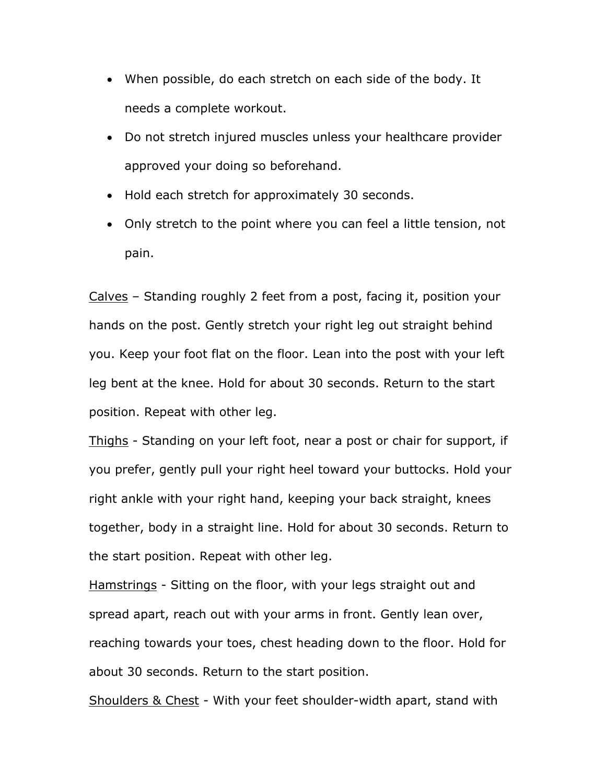- When possible, do each stretch on each side of the body. It needs a complete workout.
- Do not stretch injured muscles unless your healthcare provider approved your doing so beforehand.
- Hold each stretch for approximately 30 seconds.
- Only stretch to the point where you can feel a little tension, not pain.

Calves – Standing roughly 2 feet from a post, facing it, position your hands on the post. Gently stretch your right leg out straight behind you. Keep your foot flat on the floor. Lean into the post with your left leg bent at the knee. Hold for about 30 seconds. Return to the start position. Repeat with other leg.

Thighs - Standing on your left foot, near a post or chair for support, if you prefer, gently pull your right heel toward your buttocks. Hold your right ankle with your right hand, keeping your back straight, knees together, body in a straight line. Hold for about 30 seconds. Return to the start position. Repeat with other leg.

Hamstrings - Sitting on the floor, with your legs straight out and spread apart, reach out with your arms in front. Gently lean over, reaching towards your toes, chest heading down to the floor. Hold for about 30 seconds. Return to the start position.

Shoulders & Chest - With your feet shoulder-width apart, stand with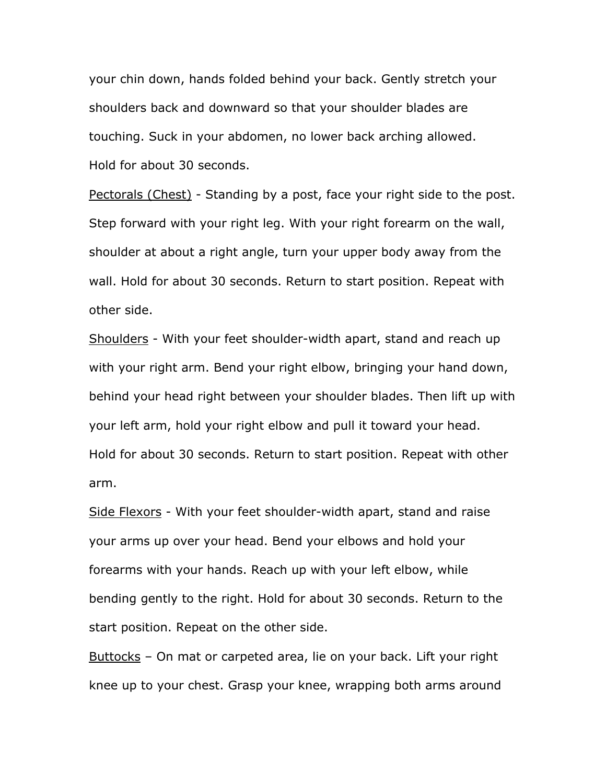your chin down, hands folded behind your back. Gently stretch your shoulders back and downward so that your shoulder blades are touching. Suck in your abdomen, no lower back arching allowed. Hold for about 30 seconds.

Pectorals (Chest) - Standing by a post, face your right side to the post. Step forward with your right leg. With your right forearm on the wall, shoulder at about a right angle, turn your upper body away from the wall. Hold for about 30 seconds. Return to start position. Repeat with other side.

Shoulders - With your feet shoulder-width apart, stand and reach up with your right arm. Bend your right elbow, bringing your hand down, behind your head right between your shoulder blades. Then lift up with your left arm, hold your right elbow and pull it toward your head. Hold for about 30 seconds. Return to start position. Repeat with other arm.

Side Flexors - With your feet shoulder-width apart, stand and raise your arms up over your head. Bend your elbows and hold your forearms with your hands. Reach up with your left elbow, while bending gently to the right. Hold for about 30 seconds. Return to the start position. Repeat on the other side.

Buttocks - On mat or carpeted area, lie on your back. Lift your right knee up to your chest. Grasp your knee, wrapping both arms around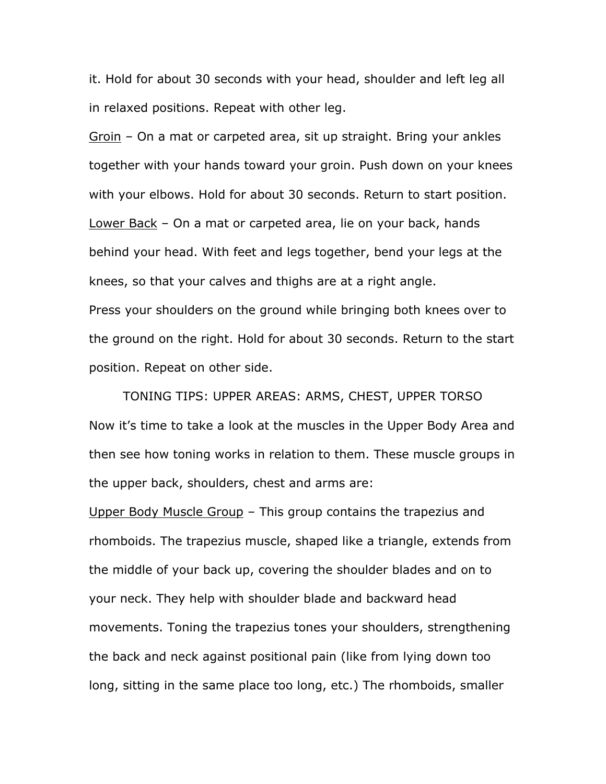it. Hold for about 30 seconds with your head, shoulder and left leg all in relaxed positions. Repeat with other leg.

Groin – On a mat or carpeted area, sit up straight. Bring your ankles together with your hands toward your groin. Push down on your knees with your elbows. Hold for about 30 seconds. Return to start position. Lower Back – On a mat or carpeted area, lie on your back, hands behind your head. With feet and legs together, bend your legs at the knees, so that your calves and thighs are at a right angle. Press your shoulders on the ground while bringing both knees over to the ground on the right. Hold for about 30 seconds. Return to the start position. Repeat on other side.

TONING TIPS: UPPER AREAS: ARMS, CHEST, UPPER TORSO Now it's time to take a look at the muscles in the Upper Body Area and then see how toning works in relation to them. These muscle groups in the upper back, shoulders, chest and arms are:

Upper Body Muscle Group – This group contains the trapezius and rhomboids. The trapezius muscle, shaped like a triangle, extends from the middle of your back up, covering the shoulder blades and on to your neck. They help with shoulder blade and backward head movements. Toning the trapezius tones your shoulders, strengthening the back and neck against positional pain (like from lying down too long, sitting in the same place too long, etc.) The rhomboids, smaller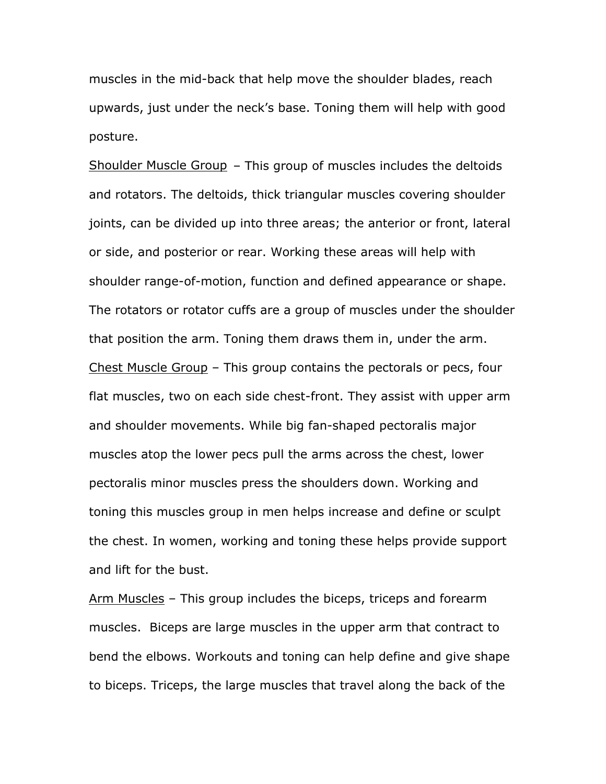muscles in the mid-back that help move the shoulder blades, reach upwards, just under the neck's base. Toning them will help with good posture.

Shoulder Muscle Group – This group of muscles includes the deltoids and rotators. The deltoids, thick triangular muscles covering shoulder joints, can be divided up into three areas; the anterior or front, lateral or side, and posterior or rear. Working these areas will help with shoulder range-of-motion, function and defined appearance or shape. The rotators or rotator cuffs are a group of muscles under the shoulder that position the arm. Toning them draws them in, under the arm. Chest Muscle Group – This group contains the pectorals or pecs, four flat muscles, two on each side chest-front. They assist with upper arm and shoulder movements. While big fan-shaped pectoralis major muscles atop the lower pecs pull the arms across the chest, lower pectoralis minor muscles press the shoulders down. Working and toning this muscles group in men helps increase and define or sculpt the chest. In women, working and toning these helps provide support and lift for the bust.

Arm Muscles - This group includes the biceps, triceps and forearm muscles. Biceps are large muscles in the upper arm that contract to bend the elbows. Workouts and toning can help define and give shape to biceps. Triceps, the large muscles that travel along the back of the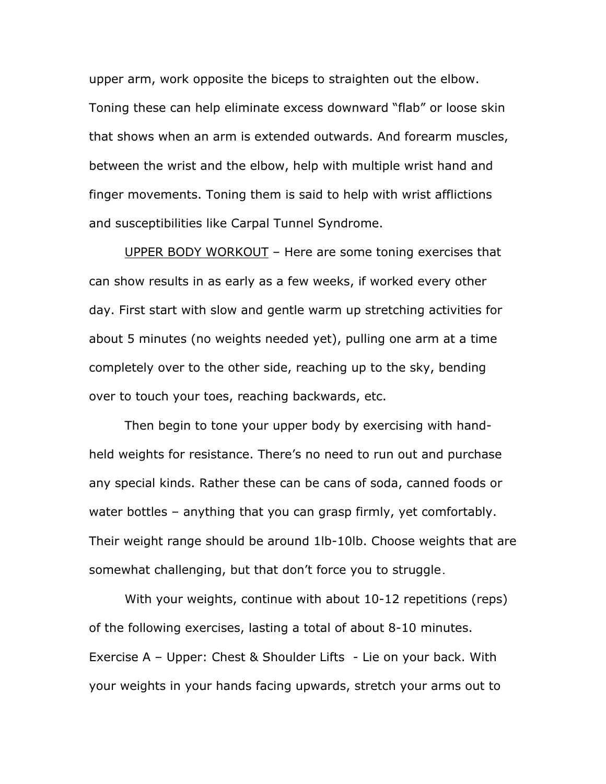upper arm, work opposite the biceps to straighten out the elbow. Toning these can help eliminate excess downward "flab" or loose skin that shows when an arm is extended outwards. And forearm muscles, between the wrist and the elbow, help with multiple wrist hand and finger movements. Toning them is said to help with wrist afflictions and susceptibilities like Carpal Tunnel Syndrome.

UPPER BODY WORKOUT – Here are some toning exercises that can show results in as early as a few weeks, if worked every other day. First start with slow and gentle warm up stretching activities for about 5 minutes (no weights needed yet), pulling one arm at a time completely over to the other side, reaching up to the sky, bending over to touch your toes, reaching backwards, etc.

Then begin to tone your upper body by exercising with handheld weights for resistance. There's no need to run out and purchase any special kinds. Rather these can be cans of soda, canned foods or water bottles – anything that you can grasp firmly, yet comfortably. Their weight range should be around 1lb-10lb. Choose weights that are somewhat challenging, but that don't force you to struggle.

With your weights, continue with about 10-12 repetitions (reps) of the following exercises, lasting a total of about 8-10 minutes. Exercise A – Upper: Chest & Shoulder Lifts - Lie on your back. With your weights in your hands facing upwards, stretch your arms out to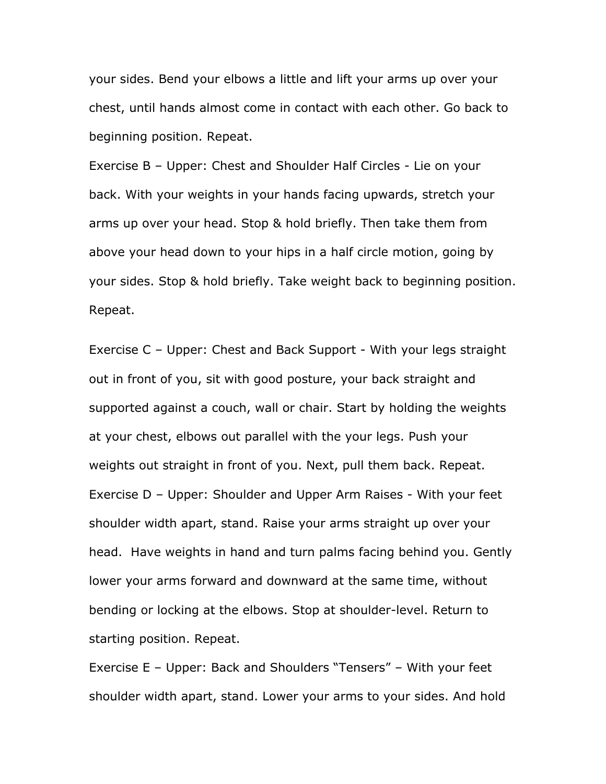your sides. Bend your elbows a little and lift your arms up over your chest, until hands almost come in contact with each other. Go back to beginning position. Repeat.

Exercise B – Upper: Chest and Shoulder Half Circles - Lie on your back. With your weights in your hands facing upwards, stretch your arms up over your head. Stop & hold briefly. Then take them from above your head down to your hips in a half circle motion, going by your sides. Stop & hold briefly. Take weight back to beginning position. Repeat.

Exercise C – Upper: Chest and Back Support - With your legs straight out in front of you, sit with good posture, your back straight and supported against a couch, wall or chair. Start by holding the weights at your chest, elbows out parallel with the your legs. Push your weights out straight in front of you. Next, pull them back. Repeat. Exercise D – Upper: Shoulder and Upper Arm Raises - With your feet shoulder width apart, stand. Raise your arms straight up over your head. Have weights in hand and turn palms facing behind you. Gently lower your arms forward and downward at the same time, without bending or locking at the elbows. Stop at shoulder-level. Return to starting position. Repeat.

Exercise E – Upper: Back and Shoulders "Tensers" – With your feet shoulder width apart, stand. Lower your arms to your sides. And hold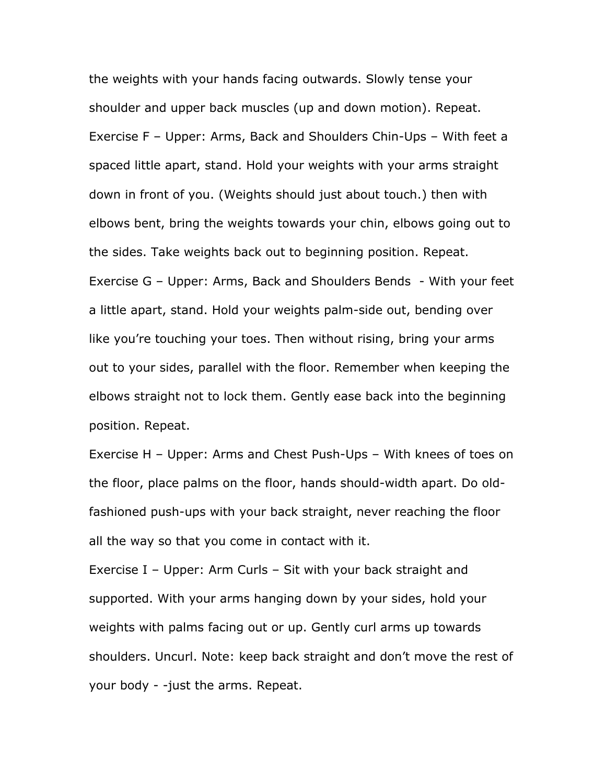the weights with your hands facing outwards. Slowly tense your shoulder and upper back muscles (up and down motion). Repeat. Exercise F – Upper: Arms, Back and Shoulders Chin-Ups – With feet a spaced little apart, stand. Hold your weights with your arms straight down in front of you. (Weights should just about touch.) then with elbows bent, bring the weights towards your chin, elbows going out to the sides. Take weights back out to beginning position. Repeat. Exercise G – Upper: Arms, Back and Shoulders Bends - With your feet a little apart, stand. Hold your weights palm-side out, bending over like you're touching your toes. Then without rising, bring your arms out to your sides, parallel with the floor. Remember when keeping the elbows straight not to lock them. Gently ease back into the beginning position. Repeat.

Exercise H – Upper: Arms and Chest Push-Ups – With knees of toes on the floor, place palms on the floor, hands should-width apart. Do oldfashioned push-ups with your back straight, never reaching the floor all the way so that you come in contact with it.

Exercise I – Upper: Arm Curls – Sit with your back straight and supported. With your arms hanging down by your sides, hold your weights with palms facing out or up. Gently curl arms up towards shoulders. Uncurl. Note: keep back straight and don't move the rest of your body - -just the arms. Repeat.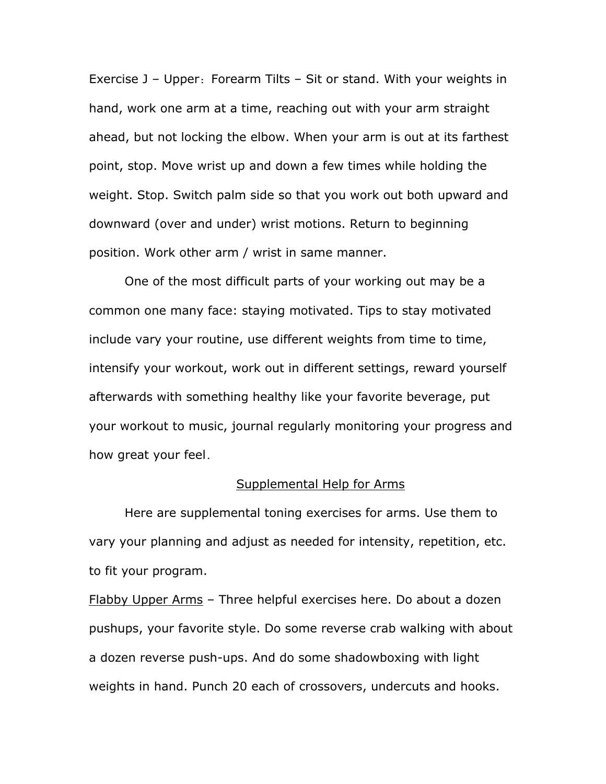Exercise J – Upper: Forearm Tilts – Sit or stand. With your weights in hand, work one arm at a time, reaching out with your arm straight ahead, but not locking the elbow. When your arm is out at its farthest point, stop. Move wrist up and down a few times while holding the weight. Stop. Switch palm side so that you work out both upward and downward (over and under) wrist motions. Return to beginning position. Work other arm / wrist in same manner.

One of the most difficult parts of your working out may be a common one many face: staying motivated. Tips to stay motivated include vary your routine, use different weights from time to time, intensify your workout, work out in different settings, reward yourself afterwards with something healthy like your favorite beverage, put your workout to music, journal regularly monitoring your progress and how great your feel.

#### Supplemental Help for Arms

Here are supplemental toning exercises for arms. Use them to vary your planning and adjust as needed for intensity, repetition, etc. to fit your program.

Flabby Upper Arms – Three helpful exercises here. Do about a dozen pushups, your favorite style. Do some reverse crab walking with about a dozen reverse push-ups. And do some shadowboxing with light weights in hand. Punch 20 each of crossovers, undercuts and hooks.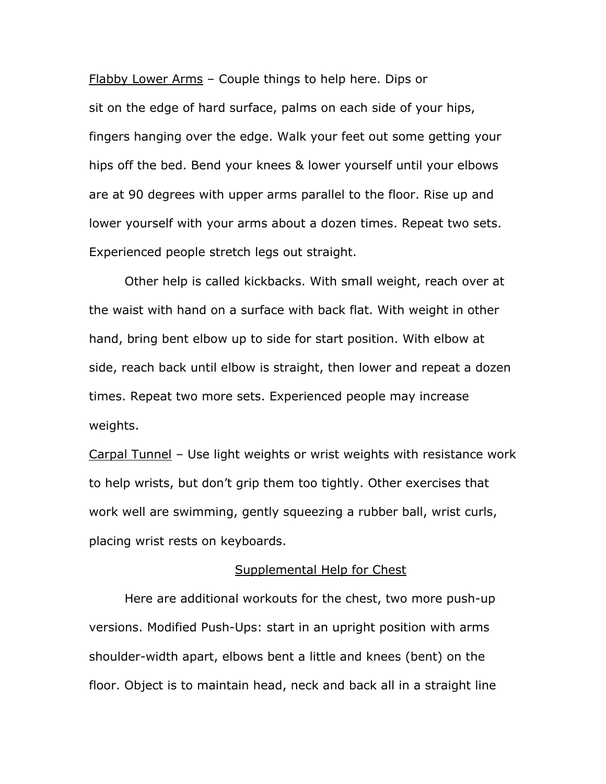Flabby Lower Arms – Couple things to help here. Dips or sit on the edge of hard surface, palms on each side of your hips, fingers hanging over the edge. Walk your feet out some getting your hips off the bed. Bend your knees & lower yourself until your elbows are at 90 degrees with upper arms parallel to the floor. Rise up and lower yourself with your arms about a dozen times. Repeat two sets. Experienced people stretch legs out straight.

Other help is called kickbacks. With small weight, reach over at the waist with hand on a surface with back flat. With weight in other hand, bring bent elbow up to side for start position. With elbow at side, reach back until elbow is straight, then lower and repeat a dozen times. Repeat two more sets. Experienced people may increase weights.

Carpal Tunnel – Use light weights or wrist weights with resistance work to help wrists, but don't grip them too tightly. Other exercises that work well are swimming, gently squeezing a rubber ball, wrist curls, placing wrist rests on keyboards.

#### Supplemental Help for Chest

Here are additional workouts for the chest, two more push-up versions. Modified Push-Ups: start in an upright position with arms shoulder-width apart, elbows bent a little and knees (bent) on the floor. Object is to maintain head, neck and back all in a straight line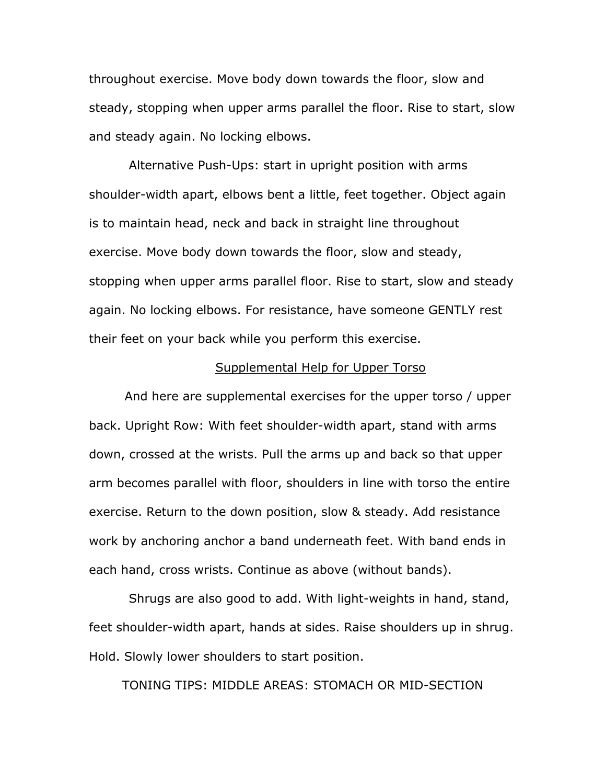throughout exercise. Move body down towards the floor, slow and steady, stopping when upper arms parallel the floor. Rise to start, slow and steady again. No locking elbows.

 Alternative Push-Ups: start in upright position with arms shoulder-width apart, elbows bent a little, feet together. Object again is to maintain head, neck and back in straight line throughout exercise. Move body down towards the floor, slow and steady, stopping when upper arms parallel floor. Rise to start, slow and steady again. No locking elbows. For resistance, have someone GENTLY rest their feet on your back while you perform this exercise.

### Supplemental Help for Upper Torso

And here are supplemental exercises for the upper torso / upper back. Upright Row: With feet shoulder-width apart, stand with arms down, crossed at the wrists. Pull the arms up and back so that upper arm becomes parallel with floor, shoulders in line with torso the entire exercise. Return to the down position, slow & steady. Add resistance work by anchoring anchor a band underneath feet. With band ends in each hand, cross wrists. Continue as above (without bands).

 Shrugs are also good to add. With light-weights in hand, stand, feet shoulder-width apart, hands at sides. Raise shoulders up in shrug. Hold. Slowly lower shoulders to start position.

TONING TIPS: MIDDLE AREAS: STOMACH OR MID-SECTION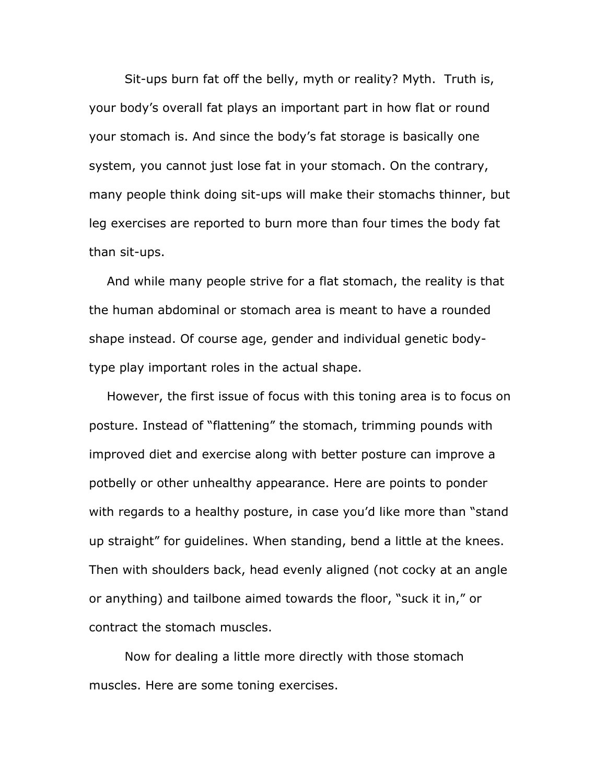Sit-ups burn fat off the belly, myth or reality? Myth. Truth is, your body's overall fat plays an important part in how flat or round your stomach is. And since the body's fat storage is basically one system, you cannot just lose fat in your stomach. On the contrary, many people think doing sit-ups will make their stomachs thinner, but leg exercises are reported to burn more than four times the body fat than sit-ups.

And while many people strive for a flat stomach, the reality is that the human abdominal or stomach area is meant to have a rounded shape instead. Of course age, gender and individual genetic bodytype play important roles in the actual shape.

However, the first issue of focus with this toning area is to focus on posture. Instead of "flattening" the stomach, trimming pounds with improved diet and exercise along with better posture can improve a potbelly or other unhealthy appearance. Here are points to ponder with regards to a healthy posture, in case you'd like more than "stand up straight" for guidelines. When standing, bend a little at the knees. Then with shoulders back, head evenly aligned (not cocky at an angle or anything) and tailbone aimed towards the floor, "suck it in," or contract the stomach muscles.

 Now for dealing a little more directly with those stomach muscles. Here are some toning exercises.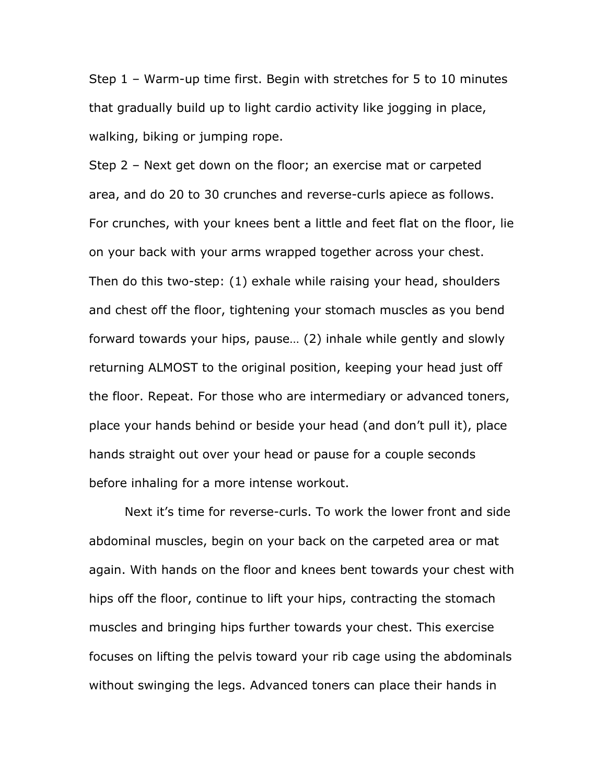Step 1 – Warm-up time first. Begin with stretches for 5 to 10 minutes that gradually build up to light cardio activity like jogging in place, walking, biking or jumping rope.

Step 2 – Next get down on the floor; an exercise mat or carpeted area, and do 20 to 30 crunches and reverse-curls apiece as follows. For crunches, with your knees bent a little and feet flat on the floor, lie on your back with your arms wrapped together across your chest. Then do this two-step: (1) exhale while raising your head, shoulders and chest off the floor, tightening your stomach muscles as you bend forward towards your hips, pause… (2) inhale while gently and slowly returning ALMOST to the original position, keeping your head just off the floor. Repeat. For those who are intermediary or advanced toners, place your hands behind or beside your head (and don't pull it), place hands straight out over your head or pause for a couple seconds before inhaling for a more intense workout.

 Next it's time for reverse-curls. To work the lower front and side abdominal muscles, begin on your back on the carpeted area or mat again. With hands on the floor and knees bent towards your chest with hips off the floor, continue to lift your hips, contracting the stomach muscles and bringing hips further towards your chest. This exercise focuses on lifting the pelvis toward your rib cage using the abdominals without swinging the legs. Advanced toners can place their hands in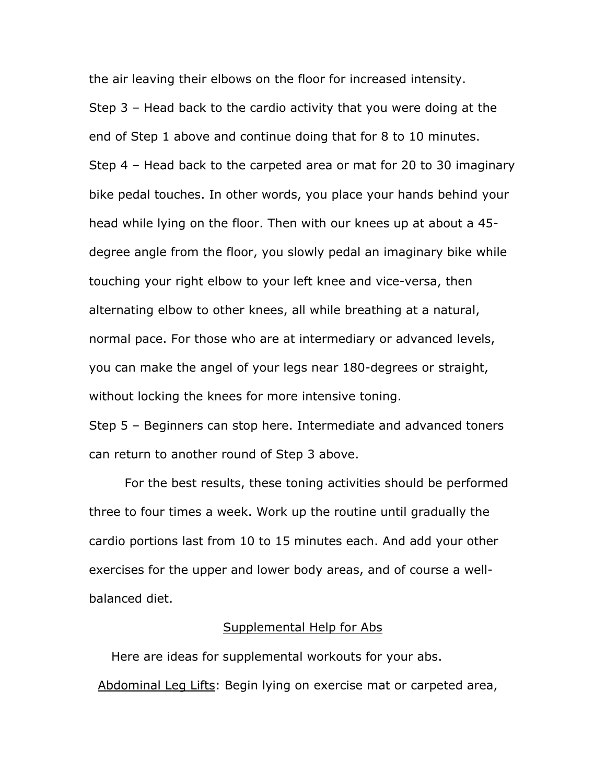the air leaving their elbows on the floor for increased intensity. Step 3 – Head back to the cardio activity that you were doing at the end of Step 1 above and continue doing that for 8 to 10 minutes. Step 4 – Head back to the carpeted area or mat for 20 to 30 imaginary bike pedal touches. In other words, you place your hands behind your head while lying on the floor. Then with our knees up at about a 45 degree angle from the floor, you slowly pedal an imaginary bike while touching your right elbow to your left knee and vice-versa, then alternating elbow to other knees, all while breathing at a natural, normal pace. For those who are at intermediary or advanced levels, you can make the angel of your legs near 180-degrees or straight, without locking the knees for more intensive toning.

Step 5 – Beginners can stop here. Intermediate and advanced toners can return to another round of Step 3 above.

 For the best results, these toning activities should be performed three to four times a week. Work up the routine until gradually the cardio portions last from 10 to 15 minutes each. And add your other exercises for the upper and lower body areas, and of course a wellbalanced diet.

#### Supplemental Help for Abs

Here are ideas for supplemental workouts for your abs. Abdominal Leg Lifts: Begin lying on exercise mat or carpeted area,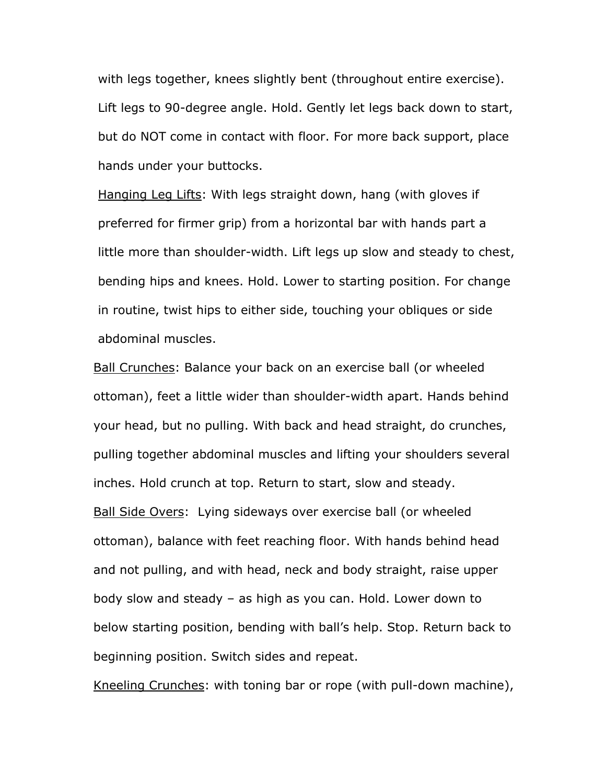with legs together, knees slightly bent (throughout entire exercise). Lift legs to 90-degree angle. Hold. Gently let legs back down to start, but do NOT come in contact with floor. For more back support, place hands under your buttocks.

Hanging Leg Lifts: With legs straight down, hang (with gloves if preferred for firmer grip) from a horizontal bar with hands part a little more than shoulder-width. Lift legs up slow and steady to chest, bending hips and knees. Hold. Lower to starting position. For change in routine, twist hips to either side, touching your obliques or side abdominal muscles.

Ball Crunches: Balance your back on an exercise ball (or wheeled ottoman), feet a little wider than shoulder-width apart. Hands behind your head, but no pulling. With back and head straight, do crunches, pulling together abdominal muscles and lifting your shoulders several inches. Hold crunch at top. Return to start, slow and steady. Ball Side Overs: Lying sideways over exercise ball (or wheeled ottoman), balance with feet reaching floor. With hands behind head and not pulling, and with head, neck and body straight, raise upper body slow and steady – as high as you can. Hold. Lower down to below starting position, bending with ball's help. Stop. Return back to beginning position. Switch sides and repeat.

Kneeling Crunches: with toning bar or rope (with pull-down machine),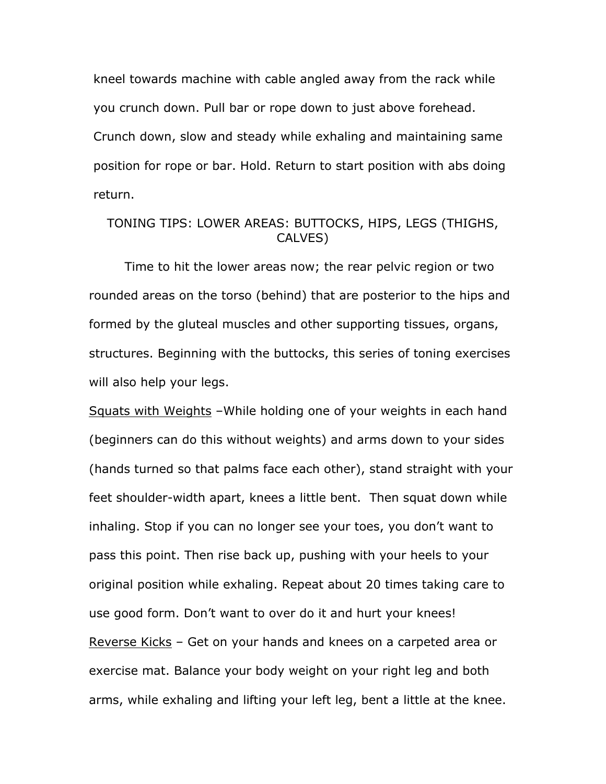kneel towards machine with cable angled away from the rack while you crunch down. Pull bar or rope down to just above forehead. Crunch down, slow and steady while exhaling and maintaining same position for rope or bar. Hold. Return to start position with abs doing return.

# TONING TIPS: LOWER AREAS: BUTTOCKS, HIPS, LEGS (THIGHS, CALVES)

Time to hit the lower areas now; the rear pelvic region or two rounded areas on the torso (behind) that are posterior to the hips and formed by the gluteal muscles and other supporting tissues, organs, structures. Beginning with the buttocks, this series of toning exercises will also help your legs.

Squats with Weights –While holding one of your weights in each hand (beginners can do this without weights) and arms down to your sides (hands turned so that palms face each other), stand straight with your feet shoulder-width apart, knees a little bent. Then squat down while inhaling. Stop if you can no longer see your toes, you don't want to pass this point. Then rise back up, pushing with your heels to your original position while exhaling. Repeat about 20 times taking care to use good form. Don't want to over do it and hurt your knees! Reverse Kicks – Get on your hands and knees on a carpeted area or exercise mat. Balance your body weight on your right leg and both arms, while exhaling and lifting your left leg, bent a little at the knee.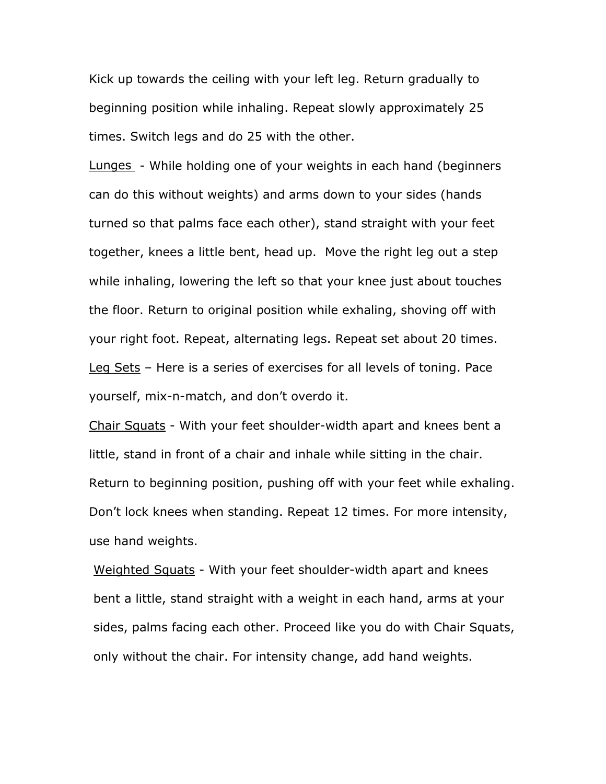Kick up towards the ceiling with your left leg. Return gradually to beginning position while inhaling. Repeat slowly approximately 25 times. Switch legs and do 25 with the other.

Lunges - While holding one of your weights in each hand (beginners can do this without weights) and arms down to your sides (hands turned so that palms face each other), stand straight with your feet together, knees a little bent, head up. Move the right leg out a step while inhaling, lowering the left so that your knee just about touches the floor. Return to original position while exhaling, shoving off with your right foot. Repeat, alternating legs. Repeat set about 20 times. Leg Sets – Here is a series of exercises for all levels of toning. Pace yourself, mix-n-match, and don't overdo it.

Chair Squats - With your feet shoulder-width apart and knees bent a little, stand in front of a chair and inhale while sitting in the chair. Return to beginning position, pushing off with your feet while exhaling. Don't lock knees when standing. Repeat 12 times. For more intensity, use hand weights.

Weighted Squats - With your feet shoulder-width apart and knees bent a little, stand straight with a weight in each hand, arms at your sides, palms facing each other. Proceed like you do with Chair Squats, only without the chair. For intensity change, add hand weights.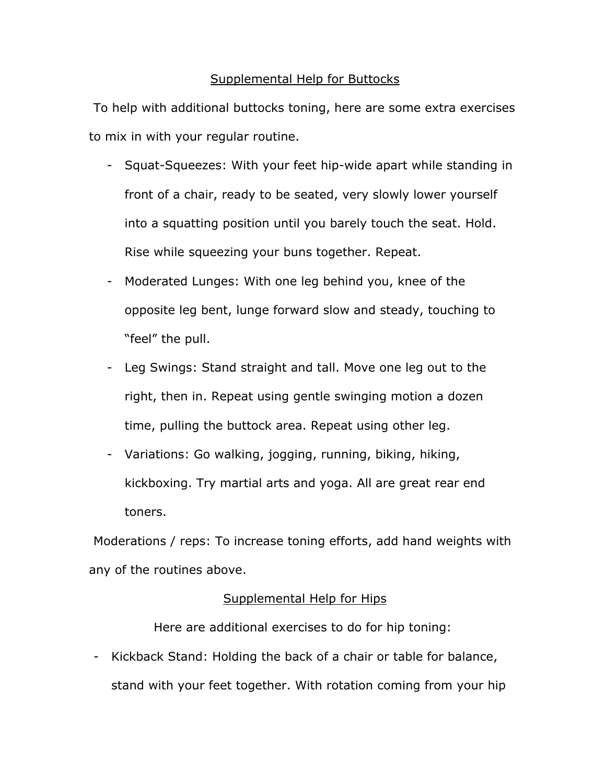# Supplemental Help for Buttocks

To help with additional buttocks toning, here are some extra exercises to mix in with your regular routine.

- Squat-Squeezes: With your feet hip-wide apart while standing in front of a chair, ready to be seated, very slowly lower yourself into a squatting position until you barely touch the seat. Hold. Rise while squeezing your buns together. Repeat.
- Moderated Lunges: With one leg behind you, knee of the opposite leg bent, lunge forward slow and steady, touching to "feel" the pull.
- Leg Swings: Stand straight and tall. Move one leg out to the right, then in. Repeat using gentle swinging motion a dozen time, pulling the buttock area. Repeat using other leg.
- Variations: Go walking, jogging, running, biking, hiking, kickboxing. Try martial arts and yoga. All are great rear end toners.

Moderations / reps: To increase toning efforts, add hand weights with any of the routines above.

# Supplemental Help for Hips

Here are additional exercises to do for hip toning:

- Kickback Stand: Holding the back of a chair or table for balance, stand with your feet together. With rotation coming from your hip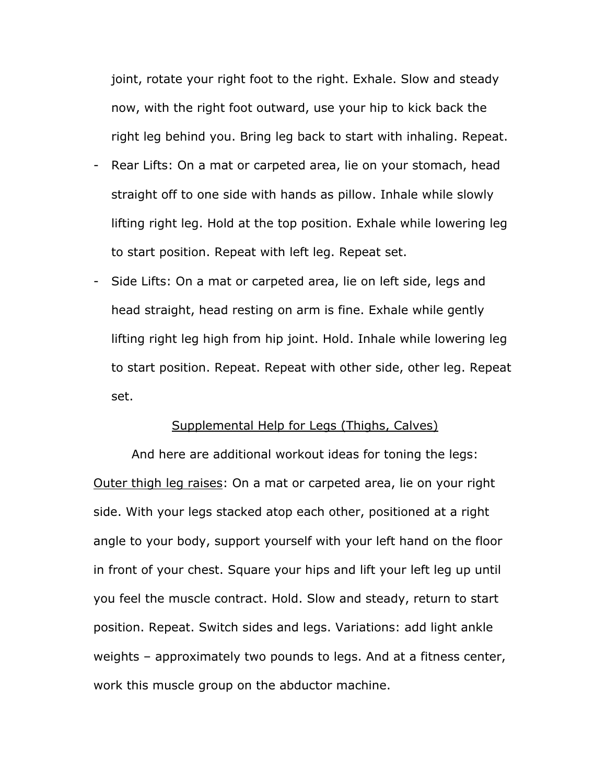joint, rotate your right foot to the right. Exhale. Slow and steady now, with the right foot outward, use your hip to kick back the right leg behind you. Bring leg back to start with inhaling. Repeat.

- Rear Lifts: On a mat or carpeted area, lie on your stomach, head straight off to one side with hands as pillow. Inhale while slowly lifting right leg. Hold at the top position. Exhale while lowering leg to start position. Repeat with left leg. Repeat set.
- Side Lifts: On a mat or carpeted area, lie on left side, legs and head straight, head resting on arm is fine. Exhale while gently lifting right leg high from hip joint. Hold. Inhale while lowering leg to start position. Repeat. Repeat with other side, other leg. Repeat set.

#### Supplemental Help for Legs (Thighs, Calves)

And here are additional workout ideas for toning the legs: Outer thigh leg raises: On a mat or carpeted area, lie on your right side. With your legs stacked atop each other, positioned at a right angle to your body, support yourself with your left hand on the floor in front of your chest. Square your hips and lift your left leg up until you feel the muscle contract. Hold. Slow and steady, return to start position. Repeat. Switch sides and legs. Variations: add light ankle weights – approximately two pounds to legs. And at a fitness center, work this muscle group on the abductor machine.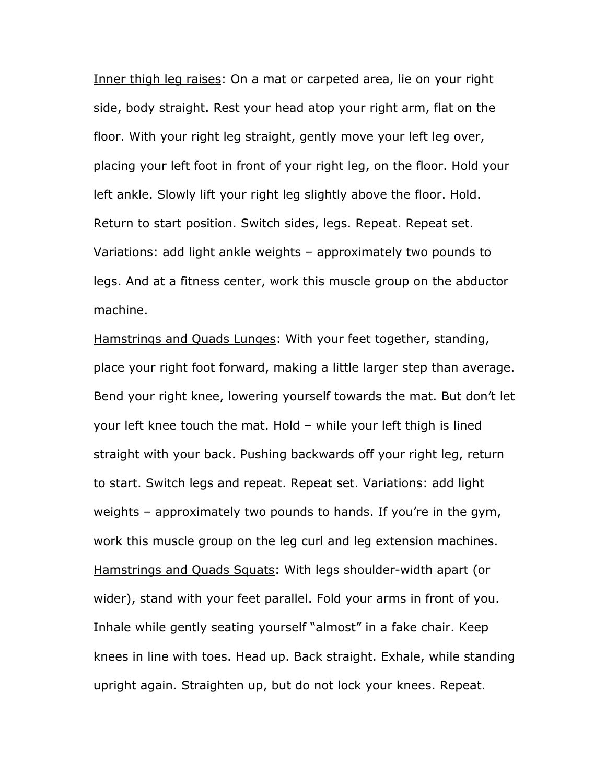Inner thigh leg raises: On a mat or carpeted area, lie on your right side, body straight. Rest your head atop your right arm, flat on the floor. With your right leg straight, gently move your left leg over, placing your left foot in front of your right leg, on the floor. Hold your left ankle. Slowly lift your right leg slightly above the floor. Hold. Return to start position. Switch sides, legs. Repeat. Repeat set. Variations: add light ankle weights – approximately two pounds to legs. And at a fitness center, work this muscle group on the abductor machine.

Hamstrings and Quads Lunges: With your feet together, standing, place your right foot forward, making a little larger step than average. Bend your right knee, lowering yourself towards the mat. But don't let your left knee touch the mat. Hold – while your left thigh is lined straight with your back. Pushing backwards off your right leg, return to start. Switch legs and repeat. Repeat set. Variations: add light weights – approximately two pounds to hands. If you're in the gym, work this muscle group on the leg curl and leg extension machines. Hamstrings and Quads Squats: With legs shoulder-width apart (or wider), stand with your feet parallel. Fold your arms in front of you. Inhale while gently seating yourself "almost" in a fake chair. Keep knees in line with toes. Head up. Back straight. Exhale, while standing upright again. Straighten up, but do not lock your knees. Repeat.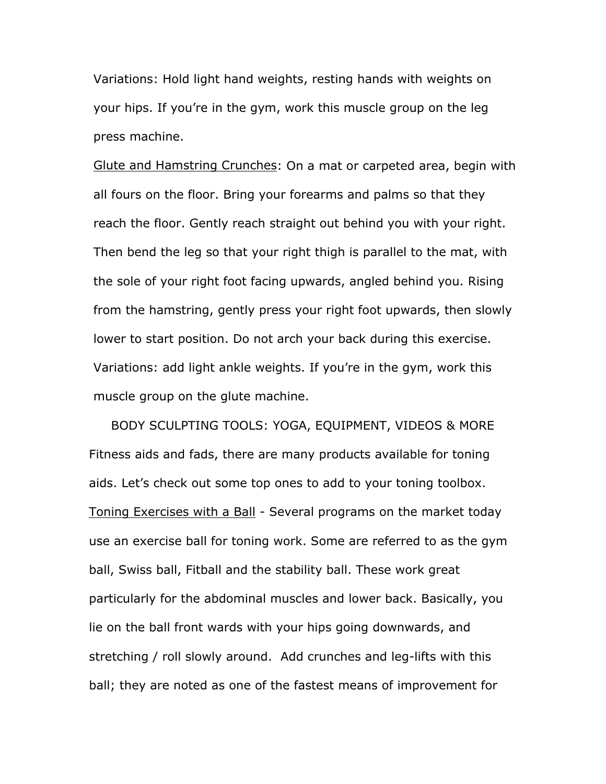Variations: Hold light hand weights, resting hands with weights on your hips. If you're in the gym, work this muscle group on the leg press machine.

Glute and Hamstring Crunches: On a mat or carpeted area, begin with all fours on the floor. Bring your forearms and palms so that they reach the floor. Gently reach straight out behind you with your right. Then bend the leg so that your right thigh is parallel to the mat, with the sole of your right foot facing upwards, angled behind you. Rising from the hamstring, gently press your right foot upwards, then slowly lower to start position. Do not arch your back during this exercise. Variations: add light ankle weights. If you're in the gym, work this muscle group on the glute machine.

BODY SCULPTING TOOLS: YOGA, EQUIPMENT, VIDEOS & MORE Fitness aids and fads, there are many products available for toning aids. Let's check out some top ones to add to your toning toolbox. Toning Exercises with a Ball - Several programs on the market today use an exercise ball for toning work. Some are referred to as the gym ball, Swiss ball, Fitball and the stability ball. These work great particularly for the abdominal muscles and lower back. Basically, you lie on the ball front wards with your hips going downwards, and stretching / roll slowly around. Add crunches and leg-lifts with this ball; they are noted as one of the fastest means of improvement for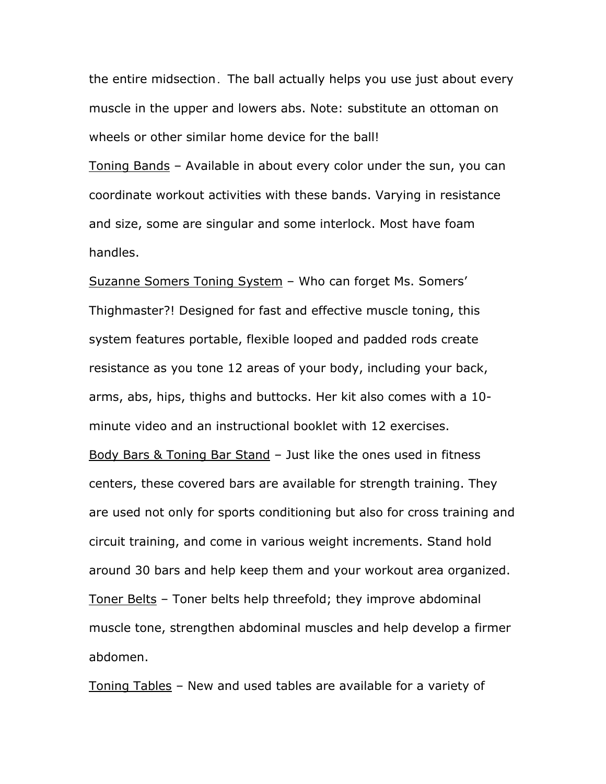the entire midsection. The ball actually helps you use just about every muscle in the upper and lowers abs. Note: substitute an ottoman on wheels or other similar home device for the ball!

Toning Bands – Available in about every color under the sun, you can coordinate workout activities with these bands. Varying in resistance and size, some are singular and some interlock. Most have foam handles.

Suzanne Somers Toning System – Who can forget Ms. Somers' Thighmaster?! Designed for fast and effective muscle toning, this system features portable, flexible looped and padded rods create resistance as you tone 12 areas of your body, including your back, arms, abs, hips, thighs and buttocks. Her kit also comes with a 10 minute video and an instructional booklet with 12 exercises. Body Bars & Toning Bar Stand – Just like the ones used in fitness centers, these covered bars are available for strength training. They are used not only for sports conditioning but also for cross training and circuit training, and come in various weight increments. Stand hold around 30 bars and help keep them and your workout area organized. Toner Belts – Toner belts help threefold; they improve abdominal muscle tone, strengthen abdominal muscles and help develop a firmer abdomen.

Toning Tables – New and used tables are available for a variety of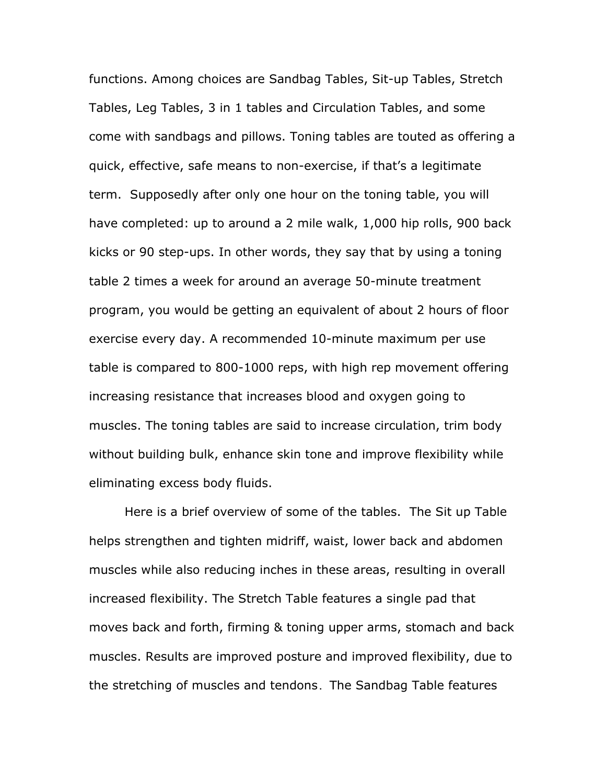functions. Among choices are Sandbag Tables, Sit-up Tables, Stretch Tables, Leg Tables, 3 in 1 tables and Circulation Tables, and some come with sandbags and pillows. Toning tables are touted as offering a quick, effective, safe means to non-exercise, if that's a legitimate term. Supposedly after only one hour on the toning table, you will have completed: up to around a 2 mile walk, 1,000 hip rolls, 900 back kicks or 90 step-ups. In other words, they say that by using a toning table 2 times a week for around an average 50-minute treatment program, you would be getting an equivalent of about 2 hours of floor exercise every day. A recommended 10-minute maximum per use table is compared to 800-1000 reps, with high rep movement offering increasing resistance that increases blood and oxygen going to muscles. The toning tables are said to increase circulation, trim body without building bulk, enhance skin tone and improve flexibility while eliminating excess body fluids.

 Here is a brief overview of some of the tables. The Sit up Table helps strengthen and tighten midriff, waist, lower back and abdomen muscles while also reducing inches in these areas, resulting in overall increased flexibility. The Stretch Table features a single pad that moves back and forth, firming & toning upper arms, stomach and back muscles. Results are improved posture and improved flexibility, due to the stretching of muscles and tendons. The Sandbag Table features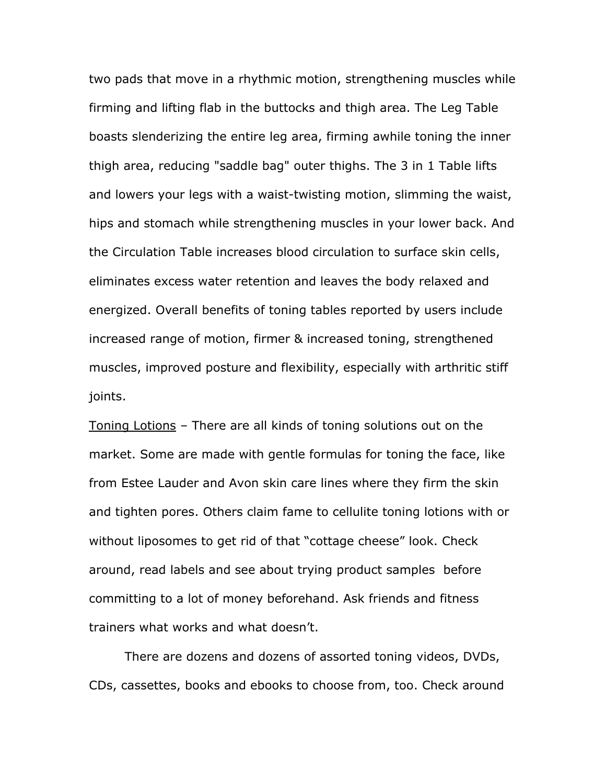two pads that move in a rhythmic motion, strengthening muscles while firming and lifting flab in the buttocks and thigh area. The Leg Table boasts slenderizing the entire leg area, firming awhile toning the inner thigh area, reducing "saddle bag" outer thighs. The 3 in 1 Table lifts and lowers your legs with a waist-twisting motion, slimming the waist, hips and stomach while strengthening muscles in your lower back. And the Circulation Table increases blood circulation to surface skin cells, eliminates excess water retention and leaves the body relaxed and energized. Overall benefits of toning tables reported by users include increased range of motion, firmer & increased toning, strengthened muscles, improved posture and flexibility, especially with arthritic stiff joints.

Toning Lotions – There are all kinds of toning solutions out on the market. Some are made with gentle formulas for toning the face, like from Estee Lauder and Avon skin care lines where they firm the skin and tighten pores. Others claim fame to cellulite toning lotions with or without liposomes to get rid of that "cottage cheese" look. Check around, read labels and see about trying product samples before committing to a lot of money beforehand. Ask friends and fitness trainers what works and what doesn't.

There are dozens and dozens of assorted toning videos, DVDs, CDs, cassettes, books and ebooks to choose from, too. Check around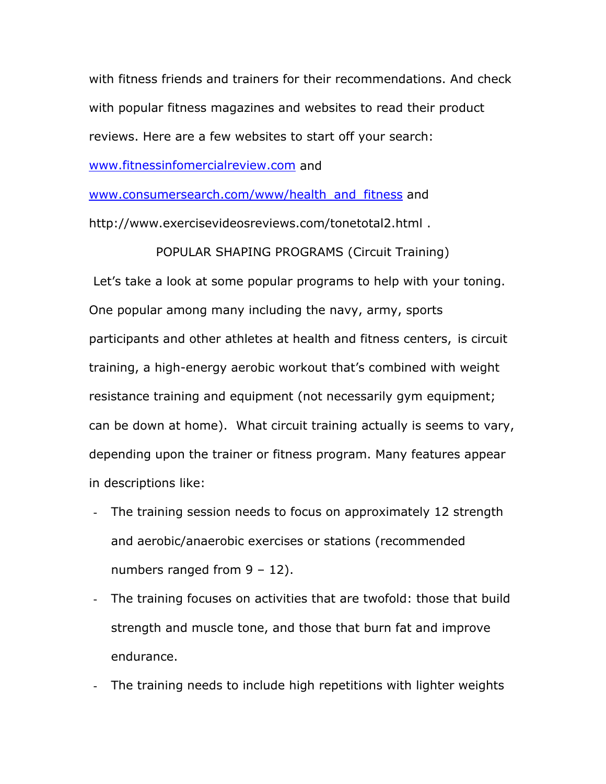with fitness friends and trainers for their recommendations. And check with popular fitness magazines and websites to read their product reviews. Here are a few websites to start off your search: [www.fitnessinfomercialreview.com](http://www.fitnessinfomercialreview.com/) and

[www.consumersearch.com/www/health\\_and\\_fitness](http://www.consumersearch.com/www/health_and_fitness) and http://www.exercisevideosreviews.com/tonetotal2.html .

POPULAR SHAPING PROGRAMS (Circuit Training)

Let's take a look at some popular programs to help with your toning. One popular among many including the navy, army, sports participants and other athletes at health and fitness centers, is circuit training, a high-energy aerobic workout that's combined with weight resistance training and equipment (not necessarily gym equipment; can be down at home). What circuit training actually is seems to vary, depending upon the trainer or fitness program. Many features appear in descriptions like:

- The training session needs to focus on approximately 12 strength and aerobic/anaerobic exercises or stations (recommended numbers ranged from 9 – 12).
- The training focuses on activities that are twofold: those that build strength and muscle tone, and those that burn fat and improve endurance.
- The training needs to include high repetitions with lighter weights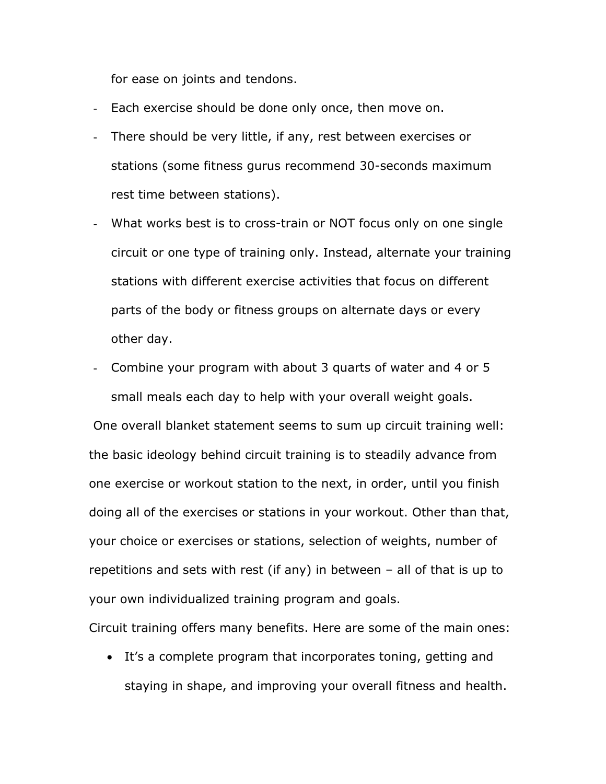for ease on joints and tendons.

- Each exercise should be done only once, then move on.
- There should be very little, if any, rest between exercises or stations (some fitness gurus recommend 30-seconds maximum rest time between stations).
- What works best is to cross-train or NOT focus only on one single circuit or one type of training only. Instead, alternate your training stations with different exercise activities that focus on different parts of the body or fitness groups on alternate days or every other day.
- Combine your program with about 3 quarts of water and 4 or 5 small meals each day to help with your overall weight goals.

One overall blanket statement seems to sum up circuit training well: the basic ideology behind circuit training is to steadily advance from one exercise or workout station to the next, in order, until you finish doing all of the exercises or stations in your workout. Other than that, your choice or exercises or stations, selection of weights, number of repetitions and sets with rest (if any) in between – all of that is up to your own individualized training program and goals.

Circuit training offers many benefits. Here are some of the main ones:

• It's a complete program that incorporates toning, getting and staying in shape, and improving your overall fitness and health.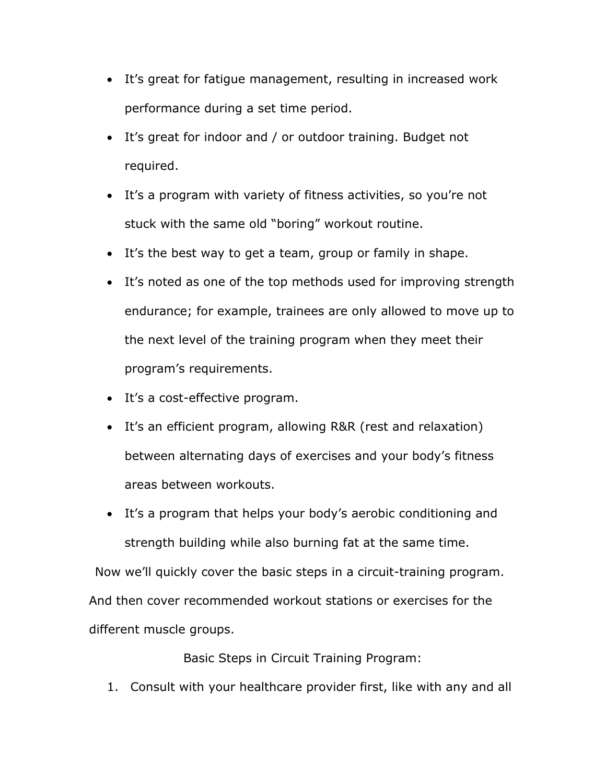- It's great for fatigue management, resulting in increased work performance during a set time period.
- It's great for indoor and / or outdoor training. Budget not required.
- It's a program with variety of fitness activities, so you're not stuck with the same old "boring" workout routine.
- It's the best way to get a team, group or family in shape.
- It's noted as one of the top methods used for improving strength endurance; for example, trainees are only allowed to move up to the next level of the training program when they meet their program's requirements.
- It's a cost-effective program.
- It's an efficient program, allowing R&R (rest and relaxation) between alternating days of exercises and your body's fitness areas between workouts.
- It's a program that helps your body's aerobic conditioning and strength building while also burning fat at the same time.

Now we'll quickly cover the basic steps in a circuit-training program. And then cover recommended workout stations or exercises for the different muscle groups.

Basic Steps in Circuit Training Program:

1. Consult with your healthcare provider first, like with any and all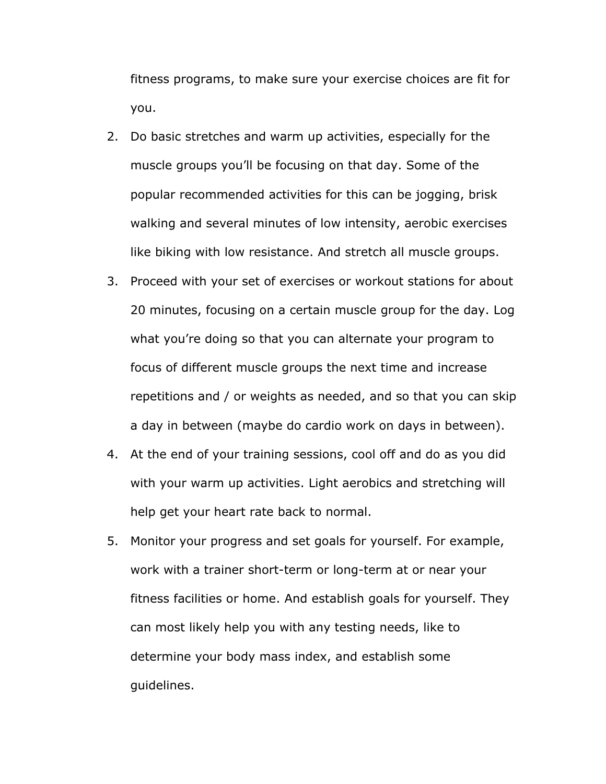fitness programs, to make sure your exercise choices are fit for you.

- 2. Do basic stretches and warm up activities, especially for the muscle groups you'll be focusing on that day. Some of the popular recommended activities for this can be jogging, brisk walking and several minutes of low intensity, aerobic exercises like biking with low resistance. And stretch all muscle groups.
- 3. Proceed with your set of exercises or workout stations for about 20 minutes, focusing on a certain muscle group for the day. Log what you're doing so that you can alternate your program to focus of different muscle groups the next time and increase repetitions and / or weights as needed, and so that you can skip a day in between (maybe do cardio work on days in between).
- 4. At the end of your training sessions, cool off and do as you did with your warm up activities. Light aerobics and stretching will help get your heart rate back to normal.
- 5. Monitor your progress and set goals for yourself. For example, work with a trainer short-term or long-term at or near your fitness facilities or home. And establish goals for yourself. They can most likely help you with any testing needs, like to determine your body mass index, and establish some guidelines.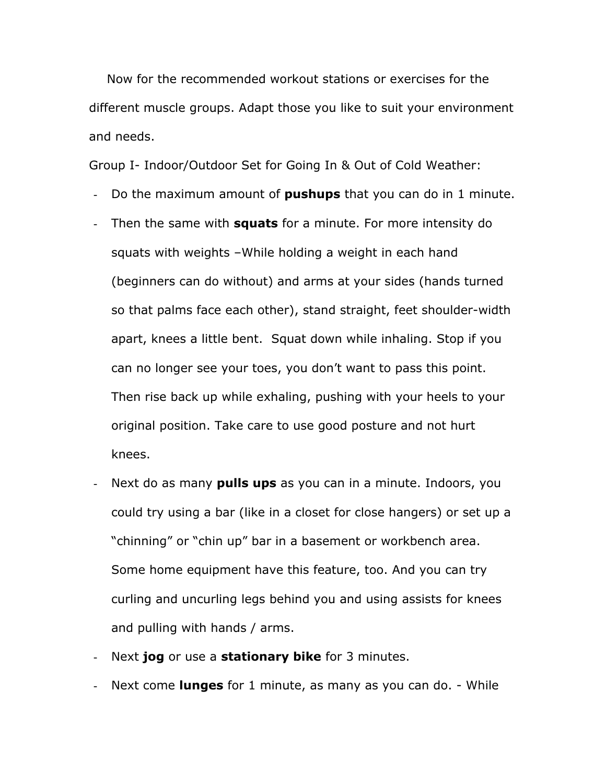Now for the recommended workout stations or exercises for the different muscle groups. Adapt those you like to suit your environment and needs.

Group I- Indoor/Outdoor Set for Going In & Out of Cold Weather:

- Do the maximum amount of **pushups** that you can do in 1 minute.
- Then the same with **squats** for a minute. For more intensity do squats with weights –While holding a weight in each hand (beginners can do without) and arms at your sides (hands turned so that palms face each other), stand straight, feet shoulder-width apart, knees a little bent. Squat down while inhaling. Stop if you can no longer see your toes, you don't want to pass this point. Then rise back up while exhaling, pushing with your heels to your original position. Take care to use good posture and not hurt knees.
- Next do as many **pulls ups** as you can in a minute. Indoors, you could try using a bar (like in a closet for close hangers) or set up a "chinning" or "chin up" bar in a basement or workbench area. Some home equipment have this feature, too. And you can try curling and uncurling legs behind you and using assists for knees and pulling with hands / arms.
- Next **jog** or use a **stationary bike** for 3 minutes.
- Next come **lunges** for 1 minute, as many as you can do. While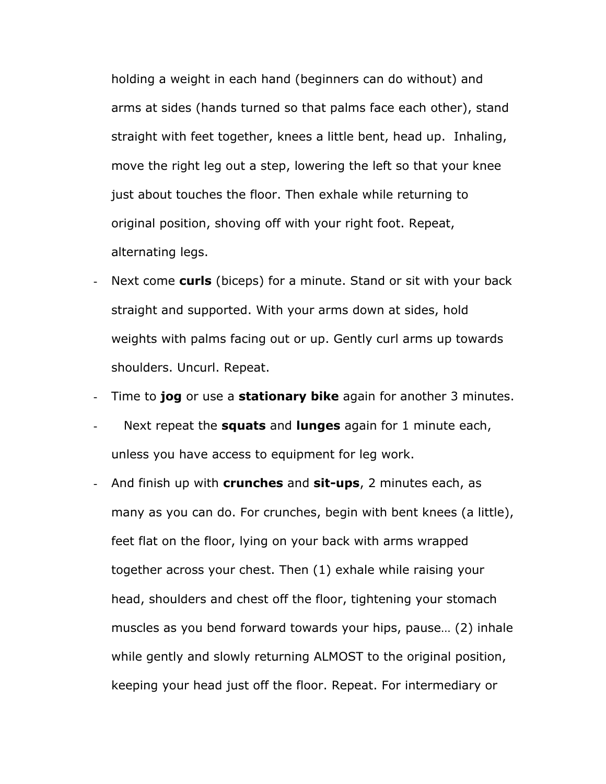holding a weight in each hand (beginners can do without) and arms at sides (hands turned so that palms face each other), stand straight with feet together, knees a little bent, head up. Inhaling, move the right leg out a step, lowering the left so that your knee just about touches the floor. Then exhale while returning to original position, shoving off with your right foot. Repeat, alternating legs.

Next come **curls** (biceps) for a minute. Stand or sit with your back straight and supported. With your arms down at sides, hold weights with palms facing out or up. Gently curl arms up towards shoulders. Uncurl. Repeat.

- Time to **jog** or use a **stationary bike** again for another 3 minutes.

- Next repeat the **squats** and **lunges** again for 1 minute each, unless you have access to equipment for leg work.
- And finish up with **crunches** and **sit-ups**, 2 minutes each, as many as you can do. For crunches, begin with bent knees (a little), feet flat on the floor, lying on your back with arms wrapped together across your chest. Then (1) exhale while raising your head, shoulders and chest off the floor, tightening your stomach muscles as you bend forward towards your hips, pause… (2) inhale while gently and slowly returning ALMOST to the original position, keeping your head just off the floor. Repeat. For intermediary or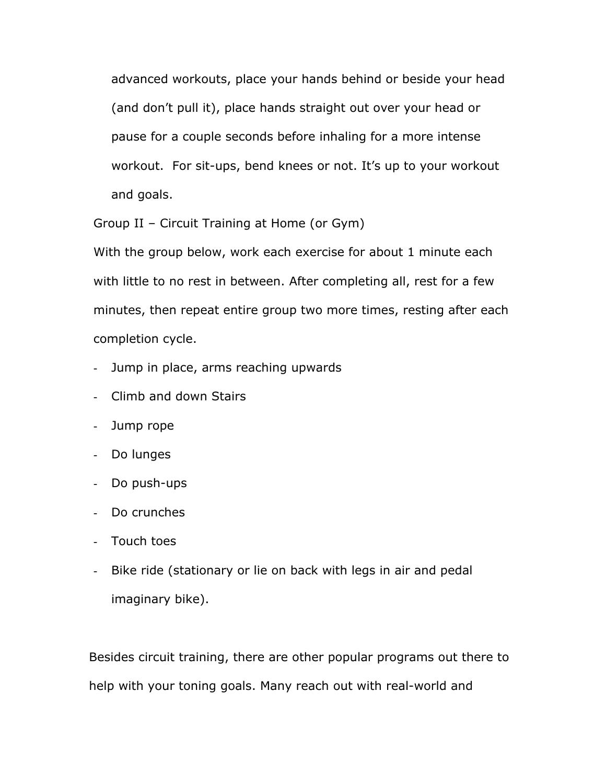advanced workouts, place your hands behind or beside your head (and don't pull it), place hands straight out over your head or pause for a couple seconds before inhaling for a more intense workout. For sit-ups, bend knees or not. It's up to your workout and goals.

Group II – Circuit Training at Home (or Gym)

With the group below, work each exercise for about 1 minute each with little to no rest in between. After completing all, rest for a few minutes, then repeat entire group two more times, resting after each completion cycle.

- Jump in place, arms reaching upwards
- Climb and down Stairs
- Jump rope
- Do lunges
- Do push-ups
- Do crunches
- Touch toes
- Bike ride (stationary or lie on back with legs in air and pedal imaginary bike).

Besides circuit training, there are other popular programs out there to help with your toning goals. Many reach out with real-world and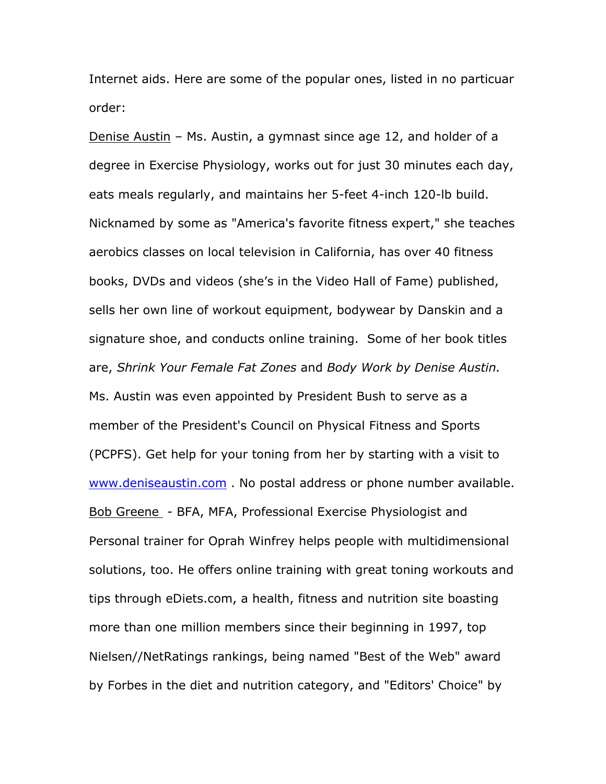Internet aids. Here are some of the popular ones, listed in no particuar order:

Denise Austin – Ms. Austin, a gymnast since age 12, and holder of a degree in Exercise Physiology, works out for just 30 minutes each day, eats meals regularly, and maintains her 5-feet 4-inch 120-lb build. Nicknamed by some as "America's favorite fitness expert," she teaches aerobics classes on local television in California, has over 40 fitness books, DVDs and videos (she's in the Video Hall of Fame) published, sells her own line of workout equipment, bodywear by Danskin and a signature shoe, and conducts online training. Some of her book titles are, *Shrink Your Female Fat Zones* and *Body Work by Denise Austin.* Ms. Austin was even appointed by President Bush to serve as a member of the President's Council on Physical Fitness and Sports (PCPFS). Get help for your toning from her by starting with a visit to [www.deniseaustin.com](http://www.deniseaustin.com/) . No postal address or phone number available. Bob Greene - BFA, MFA, Professional Exercise Physiologist and Personal trainer for Oprah Winfrey helps people with multidimensional solutions, too. He offers online training with great toning workouts and tips through eDiets.com, a health, fitness and nutrition site boasting more than one million members since their beginning in 1997, top Nielsen//NetRatings rankings, being named "Best of the Web" award by Forbes in the diet and nutrition category, and "Editors' Choice" by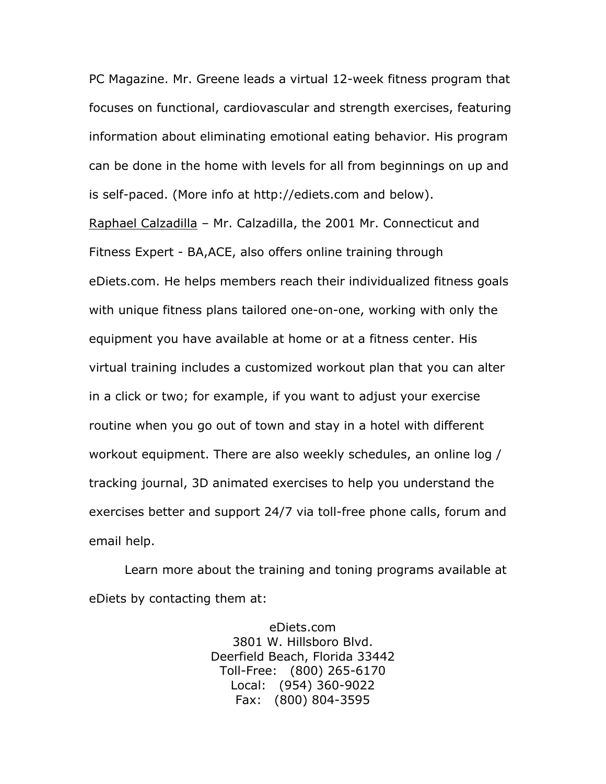PC Magazine. Mr. Greene leads a virtual 12-week fitness program that focuses on functional, cardiovascular and strength exercises, featuring information about eliminating emotional eating behavior. His program can be done in the home with levels for all from beginnings on up and is self-paced. (More info at http://ediets.com and below).

Raphael Calzadilla – Mr. Calzadilla, the 2001 Mr. Connecticut and Fitness Expert - BA,ACE, also offers online training through eDiets.com. He helps members reach their individualized fitness goals with unique fitness plans tailored one-on-one, working with only the equipment you have available at home or at a fitness center. His virtual training includes a customized workout plan that you can alter in a click or two; for example, if you want to adjust your exercise routine when you go out of town and stay in a hotel with different workout equipment. There are also weekly schedules, an online log / tracking journal, 3D animated exercises to help you understand the exercises better and support 24/7 via toll-free phone calls, forum and email help.

Learn more about the training and toning programs available at eDiets by contacting them at:

> eDiets.com 3801 W. Hillsboro Blvd. Deerfield Beach, Florida 33442 Toll-Free: (800) 265-6170 Local: (954) 360-9022 Fax: (800) 804-3595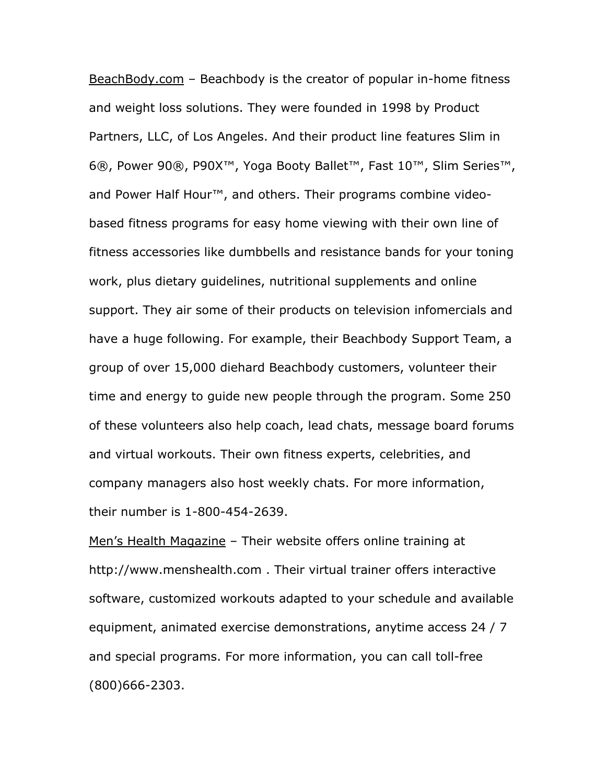BeachBody.com - Beachbody is the creator of popular in-home fitness and weight loss solutions. They were founded in 1998 by Product Partners, LLC, of Los Angeles. And their product line features Slim in 6®, Power 90®, P90X™, Yoga Booty Ballet™, Fast 10™, Slim Series™, and Power Half Hour™, and others. Their programs combine videobased fitness programs for easy home viewing with their own line of fitness accessories like dumbbells and resistance bands for your toning work, plus dietary guidelines, nutritional supplements and online support. They air some of their products on television infomercials and have a huge following. For example, their Beachbody Support Team, a group of over 15,000 diehard Beachbody customers, volunteer their time and energy to guide new people through the program. Some 250 of these volunteers also help coach, lead chats, message board forums and virtual workouts. Their own fitness experts, celebrities, and company managers also host weekly chats. For more information, their number is 1-800-454-2639.

Men's Health Magazine - Their website offers online training at http://www.menshealth.com . Their virtual trainer offers interactive software, customized workouts adapted to your schedule and available equipment, animated exercise demonstrations, anytime access 24 / 7 and special programs. For more information, you can call toll-free (800)666-2303.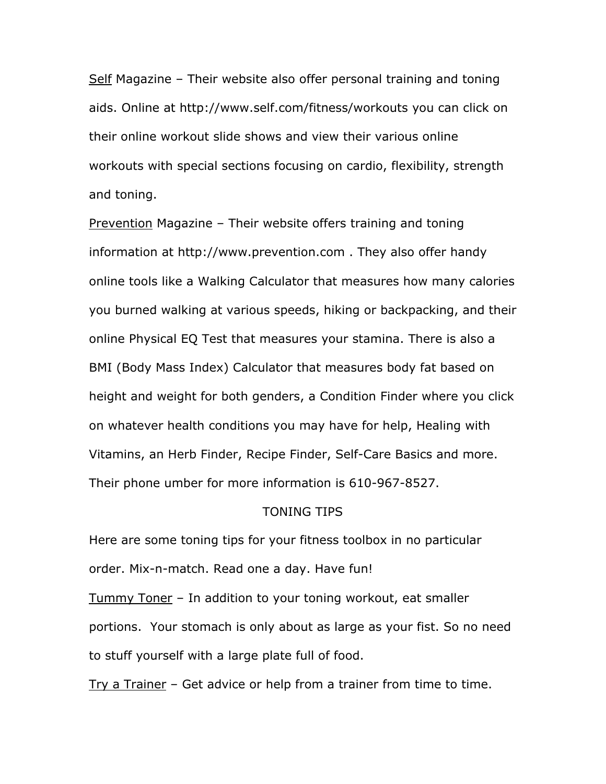Self Magazine – Their website also offer personal training and toning aids. Online at http://www.self.com/fitness/workouts you can click on their online workout slide shows and view their various online workouts with special sections focusing on cardio, flexibility, strength and toning.

Prevention Magazine – Their website offers training and toning information at http://www.prevention.com . They also offer handy online tools like a Walking Calculator that measures how many calories you burned walking at various speeds, hiking or backpacking, and their online Physical EQ Test that measures your stamina. There is also a BMI (Body Mass Index) Calculator that measures body fat based on height and weight for both genders, a Condition Finder where you click on whatever health conditions you may have for help, Healing with Vitamins, an Herb Finder, Recipe Finder, Self-Care Basics and more. Their phone umber for more information is 610-967-8527.

# TONING TIPS

Here are some toning tips for your fitness toolbox in no particular order. Mix-n-match. Read one a day. Have fun! Tummy Toner – In addition to your toning workout, eat smaller portions. Your stomach is only about as large as your fist. So no need to stuff yourself with a large plate full of food.

Try a Trainer – Get advice or help from a trainer from time to time.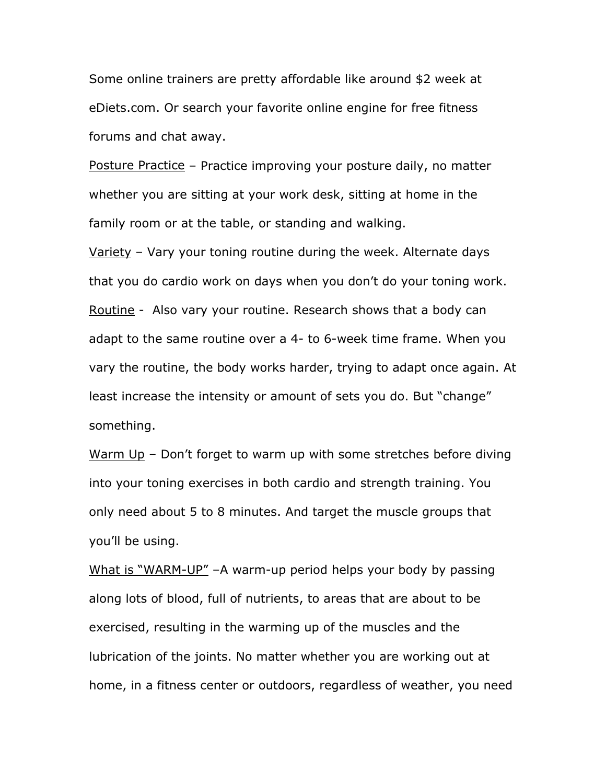Some online trainers are pretty affordable like around \$2 week at eDiets.com. Or search your favorite online engine for free fitness forums and chat away.

Posture Practice - Practice improving your posture daily, no matter whether you are sitting at your work desk, sitting at home in the family room or at the table, or standing and walking.

Variety – Vary your toning routine during the week. Alternate days that you do cardio work on days when you don't do your toning work. Routine - Also vary your routine. Research shows that a body can adapt to the same routine over a 4- to 6-week time frame. When you vary the routine, the body works harder, trying to adapt once again. At least increase the intensity or amount of sets you do. But "change" something.

Warm  $Up - Don't forget to warm up with some stretches before dividing$ into your toning exercises in both cardio and strength training. You only need about 5 to 8 minutes. And target the muscle groups that you'll be using.

What is "WARM-UP" -A warm-up period helps your body by passing along lots of blood, full of nutrients, to areas that are about to be exercised, resulting in the warming up of the muscles and the lubrication of the joints. No matter whether you are working out at home, in a fitness center or outdoors, regardless of weather, you need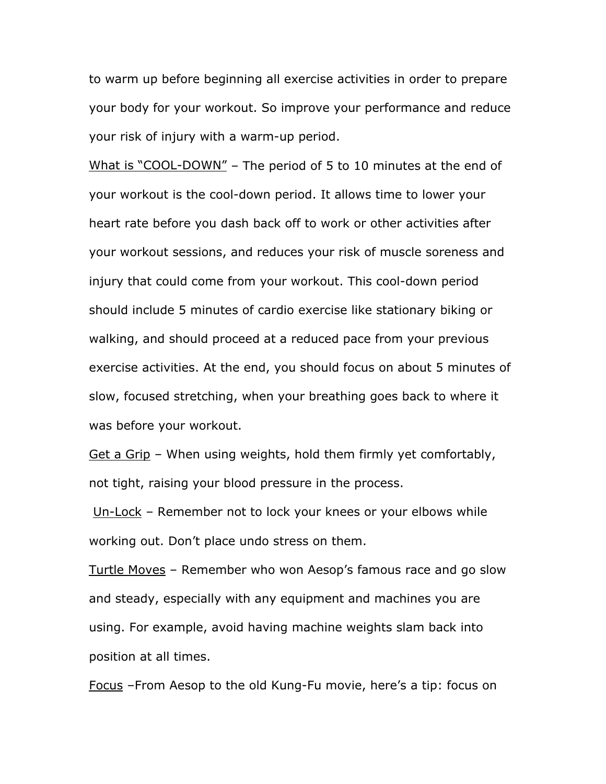to warm up before beginning all exercise activities in order to prepare your body for your workout. So improve your performance and reduce your risk of injury with a warm-up period.

What is "COOL-DOWN" – The period of 5 to 10 minutes at the end of your workout is the cool-down period. It allows time to lower your heart rate before you dash back off to work or other activities after your workout sessions, and reduces your risk of muscle soreness and injury that could come from your workout. This cool-down period should include 5 minutes of cardio exercise like stationary biking or walking, and should proceed at a reduced pace from your previous exercise activities. At the end, you should focus on about 5 minutes of slow, focused stretching, when your breathing goes back to where it was before your workout.

Get a Grip - When using weights, hold them firmly yet comfortably, not tight, raising your blood pressure in the process.

Un-Lock – Remember not to lock your knees or your elbows while working out. Don't place undo stress on them.

Turtle Moves – Remember who won Aesop's famous race and go slow and steady, especially with any equipment and machines you are using. For example, avoid having machine weights slam back into position at all times.

Focus –From Aesop to the old Kung-Fu movie, here's a tip: focus on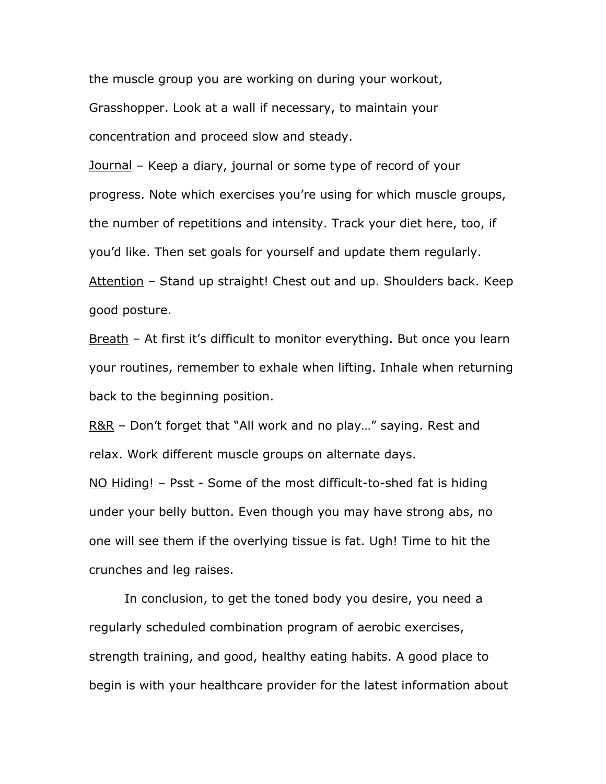the muscle group you are working on during your workout, Grasshopper. Look at a wall if necessary, to maintain your concentration and proceed slow and steady.

Journal – Keep a diary, journal or some type of record of your progress. Note which exercises you're using for which muscle groups, the number of repetitions and intensity. Track your diet here, too, if you'd like. Then set goals for yourself and update them regularly. Attention – Stand up straight! Chest out and up. Shoulders back. Keep good posture.

Breath – At first it's difficult to monitor everything. But once you learn your routines, remember to exhale when lifting. Inhale when returning back to the beginning position.

R&R – Don't forget that "All work and no play…" saying. Rest and relax. Work different muscle groups on alternate days.

NO Hiding! – Psst - Some of the most difficult-to-shed fat is hiding under your belly button. Even though you may have strong abs, no one will see them if the overlying tissue is fat. Ugh! Time to hit the crunches and leg raises.

In conclusion, to get the toned body you desire, you need a regularly scheduled combination program of aerobic exercises, strength training, and good, healthy eating habits. A good place to begin is with your healthcare provider for the latest information about